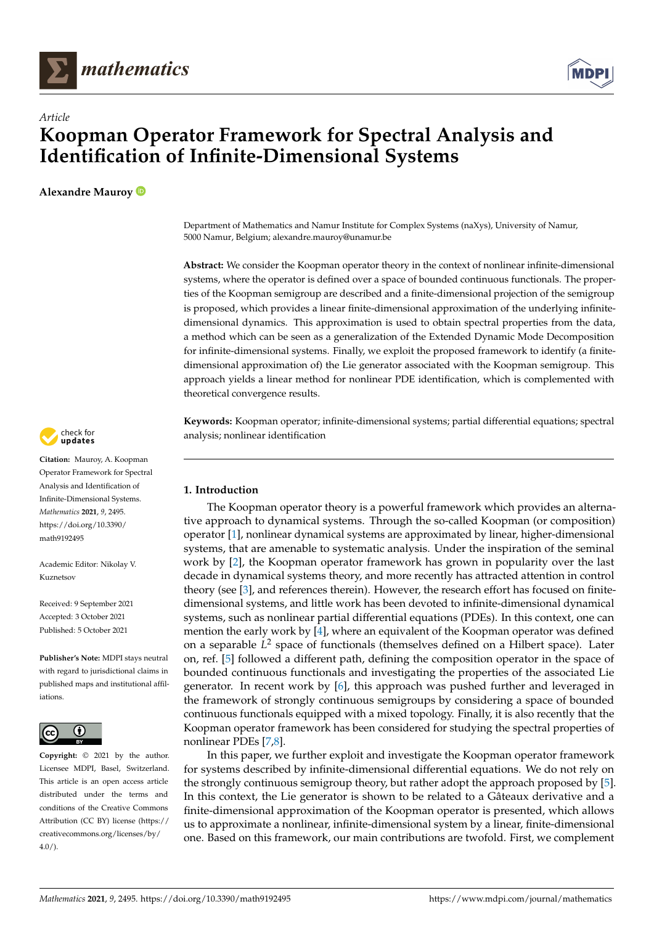



# *Article* **Koopman Operator Framework for Spectral Analysis and Identification of Infinite-Dimensional Systems**

**Alexandre Mauroy**

Department of Mathematics and Namur Institute for Complex Systems (naXys), University of Namur, 5000 Namur, Belgium; alexandre.mauroy@unamur.be

**Abstract:** We consider the Koopman operator theory in the context of nonlinear infinite-dimensional systems, where the operator is defined over a space of bounded continuous functionals. The properties of the Koopman semigroup are described and a finite-dimensional projection of the semigroup is proposed, which provides a linear finite-dimensional approximation of the underlying infinitedimensional dynamics. This approximation is used to obtain spectral properties from the data, a method which can be seen as a generalization of the Extended Dynamic Mode Decomposition for infinite-dimensional systems. Finally, we exploit the proposed framework to identify (a finitedimensional approximation of) the Lie generator associated with the Koopman semigroup. This approach yields a linear method for nonlinear PDE identification, which is complemented with theoretical convergence results.

**Keywords:** Koopman operator; infinite-dimensional systems; partial differential equations; spectral analysis; nonlinear identification

# **1. Introduction**

The Koopman operator theory is a powerful framework which provides an alternative approach to dynamical systems. Through the so-called Koopman (or composition) operator [\[1\]](#page-12-0), nonlinear dynamical systems are approximated by linear, higher-dimensional systems, that are amenable to systematic analysis. Under the inspiration of the seminal work by [\[2\]](#page-12-1), the Koopman operator framework has grown in popularity over the last decade in dynamical systems theory, and more recently has attracted attention in control theory (see [\[3\]](#page-12-2), and references therein). However, the research effort has focused on finitedimensional systems, and little work has been devoted to infinite-dimensional dynamical systems, such as nonlinear partial differential equations (PDEs). In this context, one can mention the early work by  $[4]$ , where an equivalent of the Koopman operator was defined on a separable L<sup>2</sup> space of functionals (themselves defined on a Hilbert space). Later on, ref. [\[5\]](#page-12-4) followed a different path, defining the composition operator in the space of bounded continuous functionals and investigating the properties of the associated Lie generator. In recent work by [\[6\]](#page-12-5), this approach was pushed further and leveraged in the framework of strongly continuous semigroups by considering a space of bounded continuous functionals equipped with a mixed topology. Finally, it is also recently that the Koopman operator framework has been considered for studying the spectral properties of nonlinear PDEs [\[7](#page-12-6)[,8\]](#page-12-7).

In this paper, we further exploit and investigate the Koopman operator framework for systems described by infinite-dimensional differential equations. We do not rely on the strongly continuous semigroup theory, but rather adopt the approach proposed by [\[5\]](#page-12-4). In this context, the Lie generator is shown to be related to a Gâteaux derivative and a finite-dimensional approximation of the Koopman operator is presented, which allows us to approximate a nonlinear, infinite-dimensional system by a linear, finite-dimensional one. Based on this framework, our main contributions are twofold. First, we complement



**Citation:** Mauroy, A. Koopman Operator Framework for Spectral Analysis and Identification of Infinite-Dimensional Systems. *Mathematics* **2021**, *9*, 2495. [https://doi.org/10.3390/](https://doi.org/10.3390/math9192495) [math9192495](https://doi.org/10.3390/math9192495)

Academic Editor: Nikolay V. Kuznetsov

Received: 9 September 2021 Accepted: 3 October 2021 Published: 5 October 2021

**Publisher's Note:** MDPI stays neutral with regard to jurisdictional claims in published maps and institutional affiliations.



**Copyright:** © 2021 by the author. Licensee MDPI, Basel, Switzerland. This article is an open access article distributed under the terms and conditions of the Creative Commons Attribution (CC BY) license (https:/[/](https://creativecommons.org/licenses/by/4.0/) [creativecommons.org/licenses/by/](https://creativecommons.org/licenses/by/4.0/)  $4.0/$ ).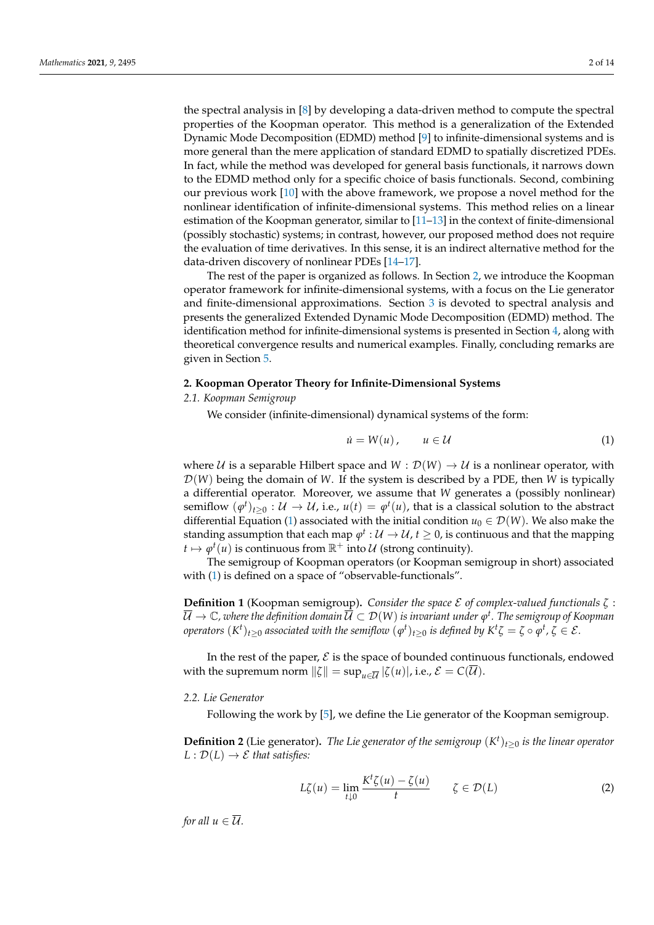the spectral analysis in [\[8\]](#page-12-7) by developing a data-driven method to compute the spectral properties of the Koopman operator. This method is a generalization of the Extended Dynamic Mode Decomposition (EDMD) method [\[9\]](#page-12-8) to infinite-dimensional systems and is more general than the mere application of standard EDMD to spatially discretized PDEs. In fact, while the method was developed for general basis functionals, it narrows down to the EDMD method only for a specific choice of basis functionals. Second, combining our previous work [\[10\]](#page-12-9) with the above framework, we propose a novel method for the nonlinear identification of infinite-dimensional systems. This method relies on a linear estimation of the Koopman generator, similar to [\[11–](#page-12-10)[13\]](#page-12-11) in the context of finite-dimensional (possibly stochastic) systems; in contrast, however, our proposed method does not require the evaluation of time derivatives. In this sense, it is an indirect alternative method for the data-driven discovery of nonlinear PDEs [\[14–](#page-12-12)[17\]](#page-12-13).

The rest of the paper is organized as follows. In Section [2,](#page-1-0) we introduce the Koopman operator framework for infinite-dimensional systems, with a focus on the Lie generator and finite-dimensional approximations. Section [3](#page-2-0) is devoted to spectral analysis and presents the generalized Extended Dynamic Mode Decomposition (EDMD) method. The identification method for infinite-dimensional systems is presented in Section [4,](#page-4-0) along with theoretical convergence results and numerical examples. Finally, concluding remarks are given in Section [5.](#page-11-0)

#### <span id="page-1-0"></span>**2. Koopman Operator Theory for Infinite-Dimensional Systems**

*2.1. Koopman Semigroup*

We consider (infinite-dimensional) dynamical systems of the form:

<span id="page-1-1"></span>
$$
\dot{u} = W(u), \qquad u \in \mathcal{U} \tag{1}
$$

where U is a separable Hilbert space and  $W : \mathcal{D}(W) \to U$  is a nonlinear operator, with D(*W*) being the domain of *W*. If the system is described by a PDE, then *W* is typically a differential operator. Moreover, we assume that *W* generates a (possibly nonlinear) semiflow  $(\varphi^t)_{t\geq 0}:\mathcal{U}\to \mathcal{U}$ , i.e.,  $u(t)=\varphi^t(u)$ , that is a classical solution to the abstract differential Equation [\(1\)](#page-1-1) associated with the initial condition  $u_0 \in \mathcal{D}(W)$ . We also make the standing assumption that each map  $\varphi^t:\mathcal{U}\to\mathcal{U}$  ,  $t\geq 0$ , is continuous and that the mapping  $t \mapsto \varphi^t(u)$  is continuous from  $\mathbb{R}^+$  into  $\mathcal U$  (strong continuity).

The semigroup of Koopman operators (or Koopman semigroup in short) associated with [\(1\)](#page-1-1) is defined on a space of "observable-functionals".

**Definition 1** (Koopman semigroup)**.** *Consider the space* E *of complex-valued functionals ζ* :  $\overline{\mathcal{U}}\to\mathbb{C}$ , where the definition domain  $\overline{\mathcal{U}}\subset\mathcal{D}(W)$  is invariant under  $\phi^t.$  The semigroup of Koopman *operators*  $(K^t)_{t\geq 0}$  *associated with the semiflow*  $(\varphi^t)_{t\geq 0}$  *is defined by*  $K^t\zeta=\zeta\circ\varphi^t$ *,*  $\zeta\in\mathcal{E}.$ 

In the rest of the paper,  $\mathcal E$  is the space of bounded continuous functionals, endowed with the supremum norm  $\|\zeta\| = \sup_{u \in \overline{U}} |\zeta(u)|$ , i.e.,  $\mathcal{E} = C(\overline{U})$ .

#### *2.2. Lie Generator*

Following the work by [\[5\]](#page-12-4), we define the Lie generator of the Koopman semigroup.

**Definition 2** (Lie generator). *The Lie generator of the semigroup*  $(K<sup>t</sup>)<sub>t≥0</sub>$  *is the linear operator*  $L: \mathcal{D}(L) \to \mathcal{E}$  *that satisfies:* 

<span id="page-1-2"></span>
$$
L\zeta(u) = \lim_{t \downarrow 0} \frac{K^t \zeta(u) - \zeta(u)}{t} \qquad \zeta \in \mathcal{D}(L) \tag{2}
$$

*for all*  $u \in \overline{U}$ *.*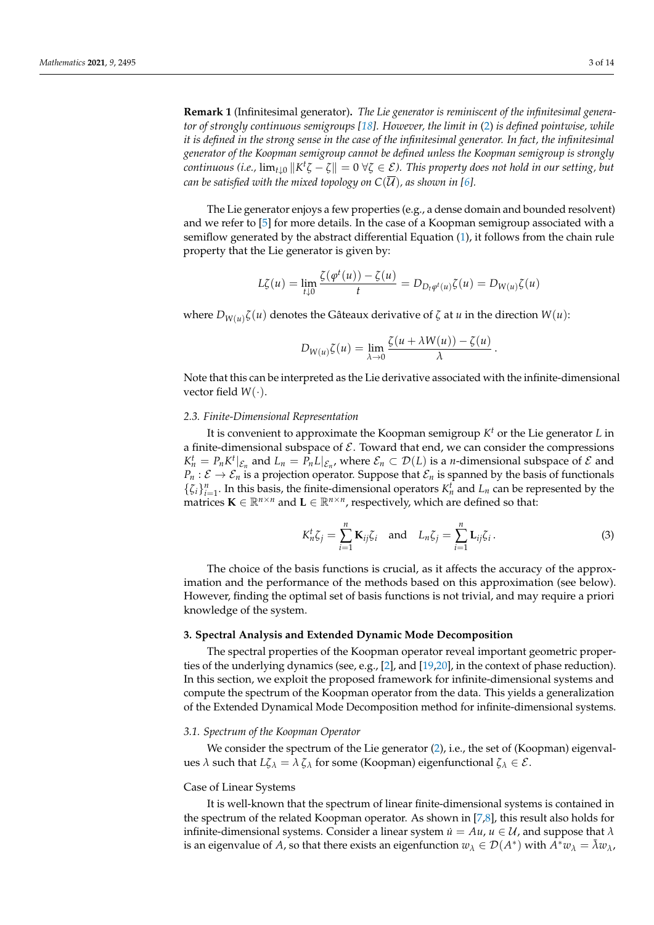**Remark 1** (Infinitesimal generator)**.** *The Lie generator is reminiscent of the infinitesimal generator of strongly continuous semigroups [\[18\]](#page-12-14). However, the limit in* [\(2\)](#page-1-2) *is defined pointwise, while it is defined in the strong sense in the case of the infinitesimal generator. In fact, the infinitesimal generator of the Koopman semigroup cannot be defined unless the Koopman semigroup is strongly continuous (i.e.,*  $\lim_{t\downarrow0} \|K^t\zeta-\zeta\|=0$  $\forall \zeta\in\mathcal{E}$ *). This property does not hold in our setting, but can be satisfied with the mixed topology on*  $C(\overline{\mathcal{U}})$ *, as shown in [\[6\]](#page-12-5)*.

The Lie generator enjoys a few properties (e.g., a dense domain and bounded resolvent) and we refer to [\[5\]](#page-12-4) for more details. In the case of a Koopman semigroup associated with a semiflow generated by the abstract differential Equation [\(1\)](#page-1-1), it follows from the chain rule property that the Lie generator is given by:

$$
L\zeta(u) = \lim_{t \downarrow 0} \frac{\zeta(\varphi^t(u)) - \zeta(u)}{t} = D_{D_t \varphi^t(u)} \zeta(u) = D_{W(u)} \zeta(u)
$$

where  $D_{W(u)}\zeta(u)$  denotes the Gâteaux derivative of  $\zeta$  at  $u$  in the direction  $W(u)$ :

$$
D_{W(u)}\zeta(u) = \lim_{\lambda \to 0} \frac{\zeta(u + \lambda W(u)) - \zeta(u)}{\lambda}.
$$

Note that this can be interpreted as the Lie derivative associated with the infinite-dimensional vector field  $W(\cdot)$ .

## *2.3. Finite-Dimensional Representation*

It is convenient to approximate the Koopman semigroup *K <sup>t</sup>* or the Lie generator *L* in a finite-dimensional subspace of  $\mathcal E$ . Toward that end, we can consider the compressions  $K_n^t = P_n K^t|_{\mathcal{E}_n}$  and  $L_n = P_n L|_{\mathcal{E}_n}$ , where  $\mathcal{E}_n \subset \mathcal{D}(L)$  is a *n*-dimensional subspace of  $\mathcal E$  and  $P_n : \mathcal{E} \to \mathcal{E}_n$  is a projection operator. Suppose that  $\mathcal{E}_n$  is spanned by the basis of functionals  $\{\zeta_i\}_{i=1}^n$ . In this basis, the finite-dimensional operators  $K_n^t$  and  $L_n$  can be represented by the matrices  $\mathbf{K} \in \mathbb{R}^{n \times n}$  and  $\mathbf{L} \in \mathbb{R}^{n \times n}$ , respectively, which are defined so that:

<span id="page-2-2"></span>
$$
K_n^t \zeta_j = \sum_{i=1}^n \mathbf{K}_{ij} \zeta_i \quad \text{and} \quad L_n \zeta_j = \sum_{i=1}^n \mathbf{L}_{ij} \zeta_i \,. \tag{3}
$$

The choice of the basis functions is crucial, as it affects the accuracy of the approximation and the performance of the methods based on this approximation (see below). However, finding the optimal set of basis functions is not trivial, and may require a priori knowledge of the system.

# <span id="page-2-0"></span>**3. Spectral Analysis and Extended Dynamic Mode Decomposition**

The spectral properties of the Koopman operator reveal important geometric properties of the underlying dynamics (see, e.g., [\[2\]](#page-12-1), and [\[19](#page-12-15)[,20\]](#page-13-0), in the context of phase reduction). In this section, we exploit the proposed framework for infinite-dimensional systems and compute the spectrum of the Koopman operator from the data. This yields a generalization of the Extended Dynamical Mode Decomposition method for infinite-dimensional systems.

## <span id="page-2-1"></span>*3.1. Spectrum of the Koopman Operator*

We consider the spectrum of the Lie generator  $(2)$ , i.e., the set of (Koopman) eigenvalues *λ* such that  $L\zeta_\lambda = \lambda \zeta_\lambda$  for some (Koopman) eigenfunctional  $\zeta_\lambda \in \mathcal{E}$ .

### Case of Linear Systems

It is well-known that the spectrum of linear finite-dimensional systems is contained in the spectrum of the related Koopman operator. As shown in [\[7](#page-12-6)[,8\]](#page-12-7), this result also holds for infinite-dimensional systems. Consider a linear system  $\dot{u} = Au$ ,  $u \in \mathcal{U}$ , and suppose that  $\lambda$ is an eigenvalue of *A*, so that there exists an eigenfunction  $w_\lambda \in \mathcal{D}(A^*)$  with  $A^*w_\lambda = \bar{\lambda}w_\lambda$ ,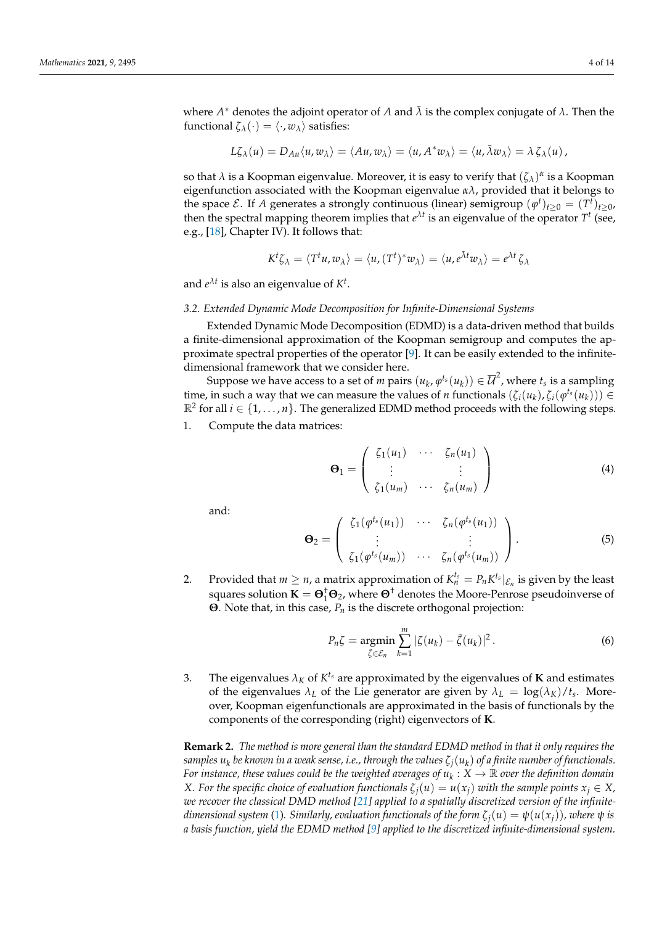$$
L\zeta_\lambda(u)=D_{Au}\langle u,w_\lambda\rangle=\langle Au,w_\lambda\rangle=\langle u,A^*w_\lambda\rangle=\langle u,\bar\lambda w_\lambda\rangle=\lambda\,\zeta_\lambda(u)\,,
$$

so that  $\lambda$  is a Koopman eigenvalue. Moreover, it is easy to verify that  $(\zeta_\lambda)^\alpha$  is a Koopman eigenfunction associated with the Koopman eigenvalue  $\alpha\lambda$ , provided that it belongs to the space  $\mathcal{E}$ . If *A* generates a strongly continuous (linear) semigroup  $(\varphi^t)_{t\geq 0} = (T^t)_{t\geq 0}$ , then the spectral mapping theorem implies that  $e^{\lambda t}$  is an eigenvalue of the operator  $T<sup>t</sup>$  (see, e.g., [\[18\]](#page-12-14), Chapter IV). It follows that:

$$
K^t \zeta_\lambda = \langle T^t u, w_\lambda \rangle = \langle u, (T^t)^* w_\lambda \rangle = \langle u, e^{\lambda t} w_\lambda \rangle = e^{\lambda t} \zeta_\lambda
$$

and  $e^{\lambda t}$  is also an eigenvalue of  $K^t$ .

# <span id="page-3-2"></span>*3.2. Extended Dynamic Mode Decomposition for Infinite-Dimensional Systems*

Extended Dynamic Mode Decomposition (EDMD) is a data-driven method that builds a finite-dimensional approximation of the Koopman semigroup and computes the approximate spectral properties of the operator [\[9\]](#page-12-8). It can be easily extended to the infinitedimensional framework that we consider here.

Suppose we have access to a set of *m* pairs  $(u_k, \phi^{t_s}(u_k)) \in \overline{\mathcal{U}}^2$ , where  $t_s$  is a sampling time, in such a way that we can measure the values of *n* functionals  $(\zeta_i(u_k), \zeta_i(\varphi^{t_s}(u_k))) \in$  $\mathbb{R}^2$  for all  $i \in \{1, ..., n\}$ . The generalized EDMD method proceeds with the following steps. 1. Compute the data matrices:

<span id="page-3-0"></span>
$$
\mathbf{\Theta}_1 = \left( \begin{array}{ccc} \zeta_1(u_1) & \cdots & \zeta_n(u_1) \\ \vdots & & \vdots \\ \zeta_1(u_m) & \cdots & \zeta_n(u_m) \end{array} \right) \tag{4}
$$

and:

<span id="page-3-1"></span>
$$
\Theta_2 = \left( \begin{array}{cccc} \zeta_1(\varphi^{t_s}(u_1)) & \cdots & \zeta_n(\varphi^{t_s}(u_1)) \\ \vdots & & \vdots \\ \zeta_1(\varphi^{t_s}(u_m)) & \cdots & \zeta_n(\varphi^{t_s}(u_m)) \end{array} \right).
$$
 (5)

2. Provided that  $m \ge n$ , a matrix approximation of  $K_n^{t_s} = P_n K^{t_s}|_{\mathcal{E}_n}$  is given by the least squares solution  $\mathbf{K} = \mathbf{\Theta}^{\dagger}_1 \mathbf{\Theta}_2$ , where  $\mathbf{\Theta}^{\dagger}$  denotes the Moore-Penrose pseudoinverse of **Θ**. Note that, in this case, *P<sup>n</sup>* is the discrete orthogonal projection:

<span id="page-3-3"></span>
$$
P_n\zeta = \underset{\tilde{\zeta} \in \mathcal{E}_n}{\operatorname{argmin}} \sum_{k=1}^m |\zeta(u_k) - \tilde{\zeta}(u_k)|^2. \tag{6}
$$

3. The eigenvalues  $\lambda_K$  of  $K^{t_s}$  are approximated by the eigenvalues of **K** and estimates of the eigenvalues  $\lambda_L$  of the Lie generator are given by  $\lambda_L = \log(\lambda_K)/t_s$ . Moreover, Koopman eigenfunctionals are approximated in the basis of functionals by the components of the corresponding (right) eigenvectors of **K**.

**Remark 2.** *The method is more general than the standard EDMD method in that it only requires the samples u<sup>k</sup> be known in a weak sense, i.e., through the values ζj*(*u<sup>k</sup>* ) *of a finite number of functionals. For instance, these values could be the weighted averages of*  $u_k: X \to \mathbb{R}$  *over the definition domain X.* For the specific choice of evaluation functionals  $\zeta_i(u) = u(x_i)$  with the sample points  $x_i \in X$ , *we recover the classical DMD method [\[21\]](#page-13-1) applied to a spatially discretized version of the infinitedimensional system* [\(1\)](#page-1-1). Similarly, evaluation functionals of the form  $\zeta_i(u) = \psi(u(x_i))$ , where  $\psi$  is *a basis function, yield the EDMD method [\[9\]](#page-12-8) applied to the discretized infinite-dimensional system.*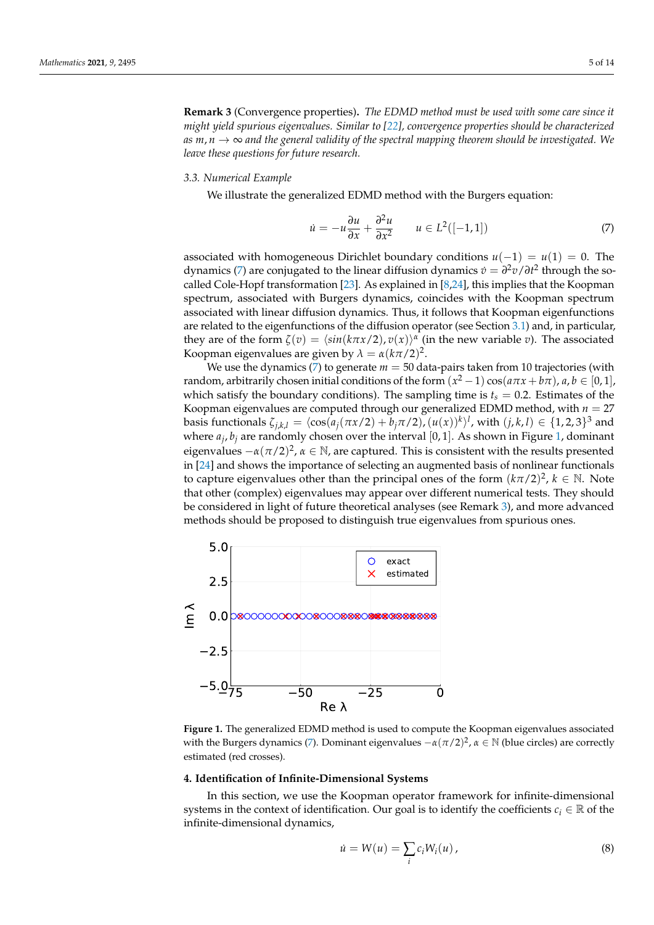<span id="page-4-3"></span>**Remark 3** (Convergence properties)**.** *The EDMD method must be used with some care since it might yield spurious eigenvalues. Similar to [\[22\]](#page-13-2), convergence properties should be characterized as*  $m, n \rightarrow \infty$  and the general validity of the spectral mapping theorem should be investigated. We *leave these questions for future research.*

#### *3.3. Numerical Example*

We illustrate the generalized EDMD method with the Burgers equation:

<span id="page-4-1"></span>
$$
\dot{u} = -u\frac{\partial u}{\partial x} + \frac{\partial^2 u}{\partial x^2} \qquad u \in L^2([-1, 1])
$$
\n<sup>(7)</sup>

associated with homogeneous Dirichlet boundary conditions  $u(-1) = u(1) = 0$ . The dynamics [\(7\)](#page-4-1) are conjugated to the linear diffusion dynamics  $\dot{v} = \frac{\partial^2 v}{\partial t^2}$  through the socalled Cole-Hopf transformation [\[23\]](#page-13-3). As explained in [\[8,](#page-12-7)[24\]](#page-13-4), this implies that the Koopman spectrum, associated with Burgers dynamics, coincides with the Koopman spectrum associated with linear diffusion dynamics. Thus, it follows that Koopman eigenfunctions are related to the eigenfunctions of the diffusion operator (see Section [3.1\)](#page-2-1) and, in particular, they are of the form  $\zeta(v) = \langle \sin(k\pi x/2), v(x) \rangle^{\alpha}$  (in the new variable *v*). The associated Koopman eigenvalues are given by  $\lambda = \alpha (k\pi/2)^2$ .

We use the dynamics [\(7\)](#page-4-1) to generate  $m = 50$  data-pairs taken from 10 trajectories (with random, arbitrarily chosen initial conditions of the form  $(x^2 - 1)\cos(a\pi x + b\pi)$ ,  $a, b \in [0, 1]$ , which satisfy the boundary conditions). The sampling time is  $t_s = 0.2$ . Estimates of the Koopman eigenvalues are computed through our generalized EDMD method, with *n* = 27 basis functionals  $\zeta_{j,k,l} = \langle \cos(a_j(\pi x/2) + b_j\pi/2), (u(x))^k \rangle^l$ , with  $(j,k,l) \in \{1,2,3\}^3$  and where  $a_j$ ,  $b_j$  are randomly chosen over the interval [0, 1]. As shown in Figure [1,](#page-4-2) dominant eigenvalues  $-\alpha(\pi/2)^2$ ,  $\alpha \in \mathbb{N}$ , are captured. This is consistent with the results presented in [\[24\]](#page-13-4) and shows the importance of selecting an augmented basis of nonlinear functionals to capture eigenvalues other than the principal ones of the form  $(k\pi/2)^2$ ,  $k \in \mathbb{N}$ . Note that other (complex) eigenvalues may appear over different numerical tests. They should be considered in light of future theoretical analyses (see Remark [3\)](#page-4-3), and more advanced methods should be proposed to distinguish true eigenvalues from spurious ones.

<span id="page-4-2"></span>

**Figure 1.** The generalized EDMD method is used to compute the Koopman eigenvalues associated with the Burgers dynamics [\(7\)](#page-4-1). Dominant eigenvalues −*α*(*π*/2) 2 , *α* ∈ N (blue circles) are correctly estimated (red crosses).

#### <span id="page-4-0"></span>**4. Identification of Infinite-Dimensional Systems**

In this section, we use the Koopman operator framework for infinite-dimensional systems in the context of identification. Our goal is to identify the coefficients  $c_i \in \mathbb{R}$  of the infinite-dimensional dynamics,

<span id="page-4-4"></span>
$$
\dot{u} = W(u) = \sum_{i} c_i W_i(u), \qquad (8)
$$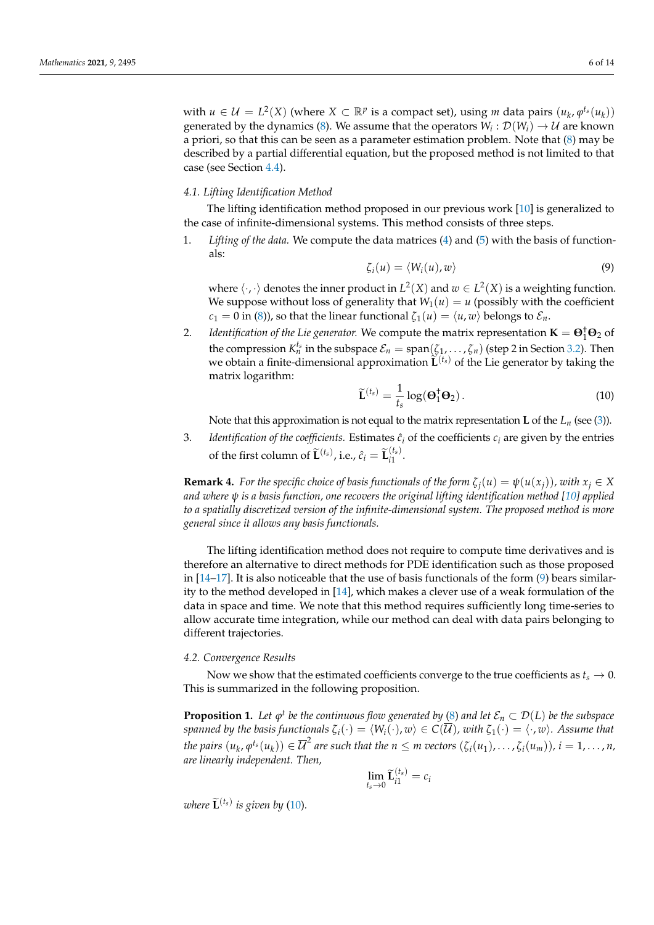with  $u \in \mathcal{U} = L^2(X)$  (where  $X \subset \mathbb{R}^p$  is a compact set), using *m* data pairs  $(u_k, \varphi^{t_s}(u_k))$ generated by the dynamics [\(8\)](#page-4-4). We assume that the operators  $W_i: \mathcal{D}(W_i) \to \mathcal{U}$  are known a priori, so that this can be seen as a parameter estimation problem. Note that [\(8\)](#page-4-4) may be described by a partial differential equation, but the proposed method is not limited to that case (see Section [4.4\)](#page-8-0).

# *4.1. Lifting Identification Method*

The lifting identification method proposed in our previous work [\[10\]](#page-12-9) is generalized to the case of infinite-dimensional systems. This method consists of three steps.

1. *Lifting of the data.* We compute the data matrices [\(4\)](#page-3-0) and [\(5\)](#page-3-1) with the basis of functionals:

<span id="page-5-0"></span>
$$
\zeta_i(u) = \langle W_i(u), w \rangle \tag{9}
$$

where  $\langle \cdot, \cdot \rangle$  denotes the inner product in  $L^2(X)$  and  $w \in L^2(X)$  is a weighting function. We suppose without loss of generality that  $W_1(u) = u$  (possibly with the coefficient *c*<sub>1</sub> = 0 in [\(8\)](#page-4-4)), so that the linear functional  $\zeta_1(u) = \langle u, w \rangle$  belongs to  $\mathcal{E}_n$ .

2. *Identification of the Lie generator.* We compute the matrix representation  $\mathbf{K} = \mathbf{\Theta}^{\dagger}_{1} \mathbf{\Theta}_{2}$  of the compression  $K_n^{t_s}$  in the subspace  $\mathcal{E}_n = \text{span}(\zeta_1,\ldots,\zeta_n)$  (step 2 in Section [3.2\)](#page-3-2). Then we obtain a finite-dimensional approximation  $\widetilde{\mathbf{L}}^{(t_s)}$  of the Lie generator by taking the matrix logarithm:

<span id="page-5-1"></span>
$$
\widetilde{\mathbf{L}}^{(t_s)} = \frac{1}{t_s} \log(\mathbf{\Theta}_1^{\dagger} \mathbf{\Theta}_2). \tag{10}
$$

Note that this approximation is not equal to the matrix representation **L** of the  $L_n$  (see [\(3\)](#page-2-2)).

3. *Identification of the coefficients.* Estimates  $\hat{c}_i$  of the coefficients  $c_i$  are given by the entries of the first column of  $\widetilde{\mathbf{L}}^{(t_s)}$ , i.e.,  $\hat{c}_i = \widetilde{\mathbf{L}}_{i1}^{(t_s)}$  $\frac{1}{i}$ 

**Remark 4.** For the specific choice of basis functionals of the form  $\zeta_i(u) = \psi(u(x_i))$ , with  $x_i \in X$ *and where ψ is a basis function, one recovers the original lifting identification method [\[10\]](#page-12-9) applied to a spatially discretized version of the infinite-dimensional system. The proposed method is more general since it allows any basis functionals.*

The lifting identification method does not require to compute time derivatives and is therefore an alternative to direct methods for PDE identification such as those proposed in  $[14–17]$  $[14–17]$ . It is also noticeable that the use of basis functionals of the form  $(9)$  bears similarity to the method developed in [\[14\]](#page-12-12), which makes a clever use of a weak formulation of the data in space and time. We note that this method requires sufficiently long time-series to allow accurate time integration, while our method can deal with data pairs belonging to different trajectories.

#### *4.2. Convergence Results*

Now we show that the estimated coefficients converge to the true coefficients as  $t_s \rightarrow 0$ . This is summarized in the following proposition.

<span id="page-5-2"></span>**Proposition 1.** Let  $\varphi^t$  be the continuous flow generated by [\(8\)](#page-4-4) and let  $\mathcal{E}_n \subset \mathcal{D}(L)$  be the subspace *spanned by the basis functionals*  $\zeta_i(\cdot) = \langle W_i(\cdot), w \rangle \in C(\overline{\mathcal{U}})$ , with  $\zeta_1(\cdot) = \langle \cdot, w \rangle$ . Assume that the pairs  $(u_k,\varphi^{t_s}(u_k))\in \overline{\mathcal{U}}^2$  are such that the  $n\leq m$  vectors  $(\zeta_i(u_1),\ldots,\zeta_i(u_m)),$   $i=1,\ldots,n,$ *are linearly independent. Then,*

$$
\lim_{t_s \to 0} \widetilde{\mathbf{L}}_{i1}^{(t_s)} = c_i
$$

*where*  $\widetilde{\mathbf{L}}^{(t_s)}$  *is given by* [\(10\)](#page-5-1).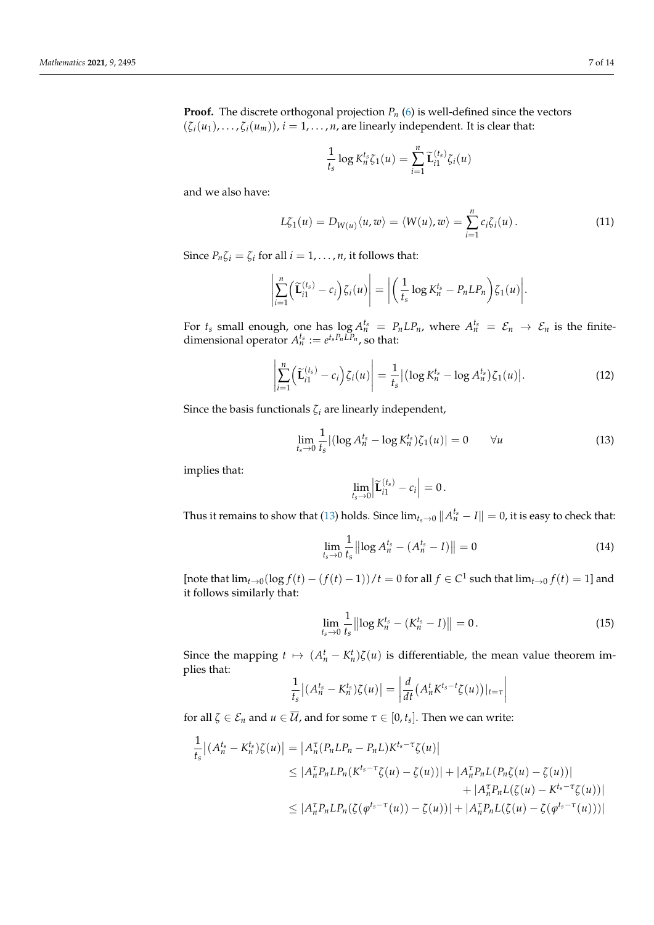**Proof.** The discrete orthogonal projection  $P_n$  [\(6\)](#page-3-3) is well-defined since the vectors  $(\zeta_i(u_1), \ldots, \zeta_i(u_m))$ ,  $i = 1, \ldots, n$ , are linearly independent. It is clear that:

$$
\frac{1}{t_s} \log K_n^{t_s} \zeta_1(u) = \sum_{i=1}^n \widetilde{\mathbf{L}}_{i1}^{(t_s)} \zeta_i(u)
$$

and we also have:

<span id="page-6-2"></span>
$$
L\zeta_1(u) = D_{W(u)}\langle u, w \rangle = \langle W(u), w \rangle = \sum_{i=1}^n c_i \zeta_i(u).
$$
 (11)

Since  $P_n \zeta_i = \zeta_i$  for all  $i = 1, \ldots, n$ , it follows that:

$$
\left|\sum_{i=1}^n \left(\widetilde{\mathbf{L}}_{i1}^{(t_s)} - c_i\right) \zeta_i(u)\right| = \left|\left(\frac{1}{t_s} \log K_n^{t_s} - P_n L P_n\right) \zeta_1(u)\right|.
$$

For  $t_s$  small enough, one has  $\log A_n^{t_s} = P_n L P_n$ , where  $A_n^{t_s} = \mathcal{E}_n \to \mathcal{E}_n$  is the finitedimensional operator  $A_n^{t_s} := e^{t_s P_n \overline{L}P_n}$ , so that:

<span id="page-6-3"></span>
$$
\left| \sum_{i=1}^{n} \left( \widetilde{\mathbf{L}}_{i1}^{(t_s)} - c_i \right) \zeta_i(u) \right| = \frac{1}{t_s} \left| \left( \log K_n^{t_s} - \log A_n^{t_s} \right) \zeta_1(u) \right|.
$$
 (12)

Since the basis functionals  $\zeta_i$  are linearly independent,

<span id="page-6-0"></span>
$$
\lim_{t_s \to 0} \frac{1}{t_s} |(\log A_n^{t_s} - \log K_n^{t_s}) \zeta_1(u)| = 0 \qquad \forall u \tag{13}
$$

implies that:

$$
\lim_{t_s \to 0} \left| \widetilde{\mathbf{L}}_{i1}^{(t_s)} - c_i \right| = 0.
$$

Thus it remains to show that [\(13\)](#page-6-0) holds. Since  $\lim_{t_s\to 0}||A_n^{t_s} - I|| = 0$ , it is easy to check that:

<span id="page-6-1"></span>
$$
\lim_{t_s \to 0} \frac{1}{t_s} \left\| \log A_n^{t_s} - (A_n^{t_s} - I) \right\| = 0 \tag{14}
$$

[note that  $\lim_{t\to 0} (\log f(t) - (f(t)-1))/t = 0$  for all  $f \in C^1$  such that  $\lim_{t\to 0} f(t) = 1$ ] and it follows similarly that:

$$
\lim_{t_s \to 0} \frac{1}{t_s} \left\| \log K_n^{t_s} - (K_n^{t_s} - I) \right\| = 0. \tag{15}
$$

Since the mapping  $t \mapsto (A_n^t - K_n^t)\zeta(u)$  is differentiable, the mean value theorem implies that:

$$
\frac{1}{t_s}\big|(A_n^{t_s}-K_n^{t_s})\zeta(u)\big|=\left|\frac{d}{dt}\big(A_n^{t}K^{t_s-t}\zeta(u)\big)|_{t=\tau}\right|
$$

for all  $\zeta \in \mathcal{E}_n$  and  $u \in \mathcal{U}$ , and for some  $\tau \in [0, t_s]$ . Then we can write:

$$
\frac{1}{t_s} |(A_n^{t_s} - K_n^{t_s})\zeta(u)| = |A_n^{\tau}(P_n L P_n - P_n L)K^{t_s - \tau}\zeta(u)|
$$
\n
$$
\leq |A_n^{\tau} P_n L P_n(K^{t_s - \tau}\zeta(u) - \zeta(u))| + |A_n^{\tau} P_n L (P_n \zeta(u) - \zeta(u))|
$$
\n
$$
+ |A_n^{\tau} P_n L (\zeta(u) - K^{t_s - \tau}\zeta(u))|
$$
\n
$$
\leq |A_n^{\tau} P_n L P_n(\zeta(\varphi^{t_s - \tau}(u)) - \zeta(u))| + |A_n^{\tau} P_n L (\zeta(u) - \zeta(\varphi^{t_s - \tau}(u)))|
$$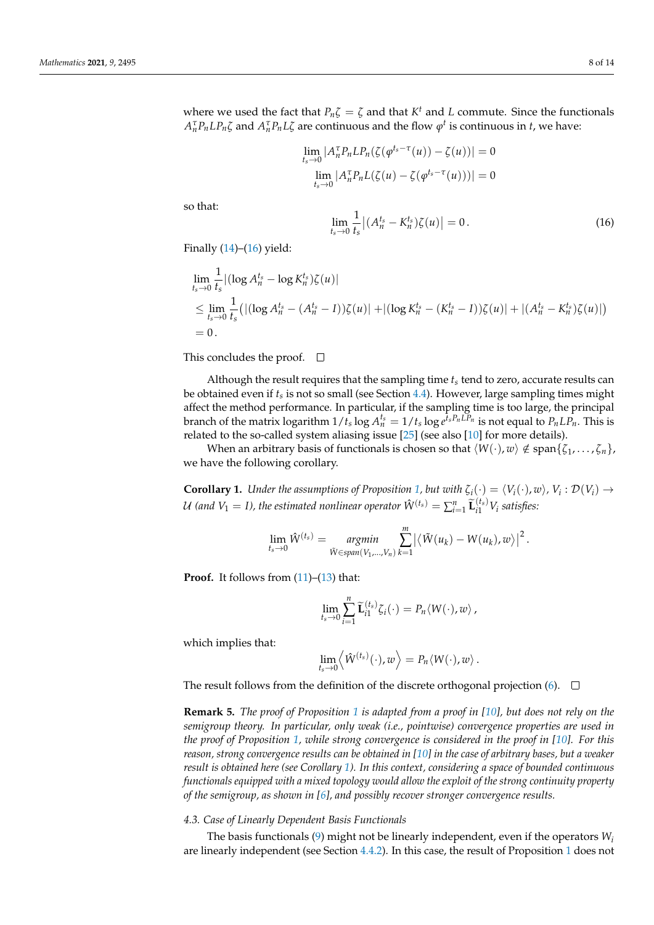where we used the fact that  $P_n \zeta = \zeta$  and that  $K^t$  and  $L$  commute. Since the functionals  $A_n^{\tau}P_n L P_n \zeta$  and  $A_n^{\tau}P_n L \zeta$  are continuous and the flow  $\varphi^t$  is continuous in *t*, we have:

$$
\lim_{t_s \to 0} |A_n^{\tau} P_n L P_n(\zeta(\varphi^{t_s - \tau}(u)) - \zeta(u))| = 0
$$
  

$$
\lim_{t_s \to 0} |A_n^{\tau} P_n L(\zeta(u) - \zeta(\varphi^{t_s - \tau}(u)))| = 0
$$

so that:

<span id="page-7-0"></span>lim *ts*→0 1 *ts*  $|(A_n^{t_s} - K_n^{t_s})\zeta(u)| = 0.$  (16)

Finally  $(14)$ – $(16)$  yield:

$$
\lim_{t_s \to 0} \frac{1}{t_s} |(\log A_n^{t_s} - \log K_n^{t_s}) \zeta(u)|
$$
\n
$$
\leq \lim_{t_s \to 0} \frac{1}{t_s} (|(\log A_n^{t_s} - (A_n^{t_s} - I)) \zeta(u)| + |(\log K_n^{t_s} - (K_n^{t_s} - I)) \zeta(u)| + |(A_n^{t_s} - K_n^{t_s}) \zeta(u)|)
$$
\n
$$
= 0.
$$

This concludes the proof.  $\square$ 

Although the result requires that the sampling time *t<sup>s</sup>* tend to zero, accurate results can be obtained even if *t<sup>s</sup>* is not so small (see Section [4.4\)](#page-8-0). However, large sampling times might affect the method performance. In particular, if the sampling time is too large, the principal branch of the matrix logarithm  $1/t_s \log A_n^{t_s} = 1/t_s \log e^{\tilde{t}_s P_n L \tilde{P}_n}$  is not equal to  $P_n L \tilde{P_n}$ . This is related to the so-called system aliasing issue [\[25\]](#page-13-5) (see also [\[10\]](#page-12-9) for more details).

When an arbitrary basis of functionals is chosen so that  $\langle W(\cdot), w \rangle \notin \text{span}\{\zeta_1, \ldots, \zeta_n\},$ we have the following corollary.

<span id="page-7-1"></span>**Corollary 1.** *Under the assumptions of Proposition [1,](#page-5-2) but with*  $\zeta_i(\cdot) = \langle V_i(\cdot), w \rangle$ ,  $V_i : \mathcal{D}(V_i) \to$  $U$  (and  $V_1 = I$ ), the estimated nonlinear operator  $\hat{W}^{(t_s)} = \sum_{i=1}^n \widetilde{\mathbf{L}}_{i1}^{(t_s)} V_i$  satisfies:

$$
\lim_{t_s \to 0} \hat{W}^{(t_s)} = \underset{\tilde{W} \in span(V_1,...,V_n)}{argmin} \sum_{k=1}^m \left| \left\langle \tilde{W}(u_k) - W(u_k), w \right\rangle \right|^2.
$$

**Proof.** It follows from  $(11)$ – $(13)$  that:

$$
\lim_{t_s \to 0} \sum_{i=1}^n \widetilde{\mathbf{L}}_{i1}^{(t_s)} \zeta_i(\cdot) = P_n \langle W(\cdot), w \rangle,
$$

which implies that:

$$
\lim_{t_s\to 0}\left\langle \hat{W}^{(t_s)}(\cdot),w\right\rangle = P_n\langle W(\cdot),w\rangle.
$$

The result follows from the definition of the discrete orthogonal projection [\(6\)](#page-3-3).  $\Box$ 

**Remark 5.** *The proof of Proposition [1](#page-5-2) is adapted from a proof in [\[10\]](#page-12-9), but does not rely on the semigroup theory. In particular, only weak (i.e., pointwise) convergence properties are used in the proof of Proposition* [1,](#page-5-2) *while strong convergence is considered in the proof in [\[10\]](#page-12-9). For this reason, strong convergence results can be obtained in [\[10\]](#page-12-9) in the case of arbitrary bases, but a weaker result is obtained here (see Corollary [1\)](#page-7-1). In this context, considering a space of bounded continuous functionals equipped with a mixed topology would allow the exploit of the strong continuity property of the semigroup, as shown in [\[6\]](#page-12-5), and possibly recover stronger convergence results.*

## <span id="page-7-2"></span>*4.3. Case of Linearly Dependent Basis Functionals*

The basis functionals [\(9\)](#page-5-0) might not be linearly independent, even if the operators  $W_i$ are linearly independent (see Section [4.4.2\)](#page-9-0). In this case, the result of Proposition [1](#page-5-2) does not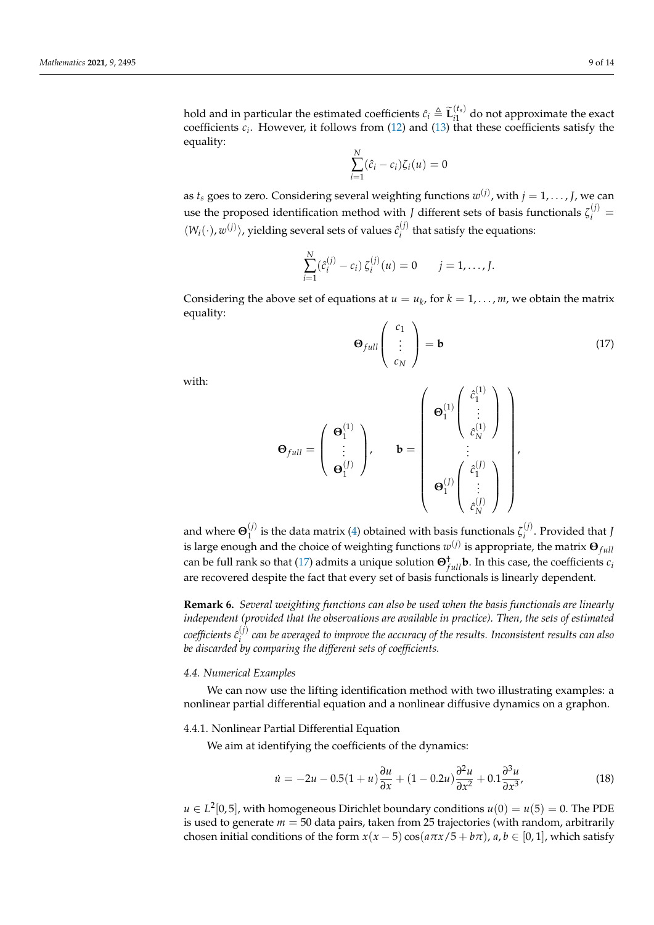hold and in particular the estimated coefficients  $\hat{c}_i \triangleq \widetilde{\mathbf{L}}_i^{(t_s)}$  $i_1^{(s)}$  do not approximate the exact coefficients  $c_i$ . However, it follows from  $(12)$  and  $(13)$  that these coefficients satisfy the equality: *N*

$$
\sum_{i=1}^N (\hat{c}_i - c_i) \zeta_i(u) = 0
$$

as  $t_s$  goes to zero. Considering several weighting functions  $w^{(j)}$ , with  $j=1,\ldots,J$ , we can use the proposed identification method with *J* different sets of basis functionals  $\zeta_i^{(j)}$  =  $\langle W_i(\cdot), w^{(j)} \rangle$ , yielding several sets of values  $\hat{c}^{(j)}_i$  $i_j^{(V)}$  that satisfy the equations:

$$
\sum_{i=1}^{N} (\hat{c}_{i}^{(j)} - c_{i}) \zeta_{i}^{(j)}(u) = 0 \qquad j = 1, ..., J.
$$

Considering the above set of equations at  $u = u_k$ , for  $k = 1, ..., m$ , we obtain the matrix equality:

<span id="page-8-1"></span>
$$
\Theta_{full} \left( \begin{array}{c} c_1 \\ \vdots \\ c_N \end{array} \right) = \mathbf{b} \tag{17}
$$

with:

$$
\mathbf{\Theta}_{full} = \left( \begin{array}{c} \mathbf{\Theta}_{1}^{(1)} \\ \vdots \\ \mathbf{\Theta}_{1}^{(J)} \end{array} \right), \qquad \mathbf{b} = \left( \begin{array}{c} \mathbf{\Theta}_{1}^{(1)} \begin{pmatrix} \hat{c}_{1}^{(1)} \\ \vdots \\ \hat{c}_{N}^{(1)} \end{pmatrix} \\ \vdots \\ \mathbf{\Theta}_{1}^{(J)} \begin{pmatrix} \hat{c}_{1}^{(J)} \\ \vdots \\ \hat{c}_{N}^{(J)} \end{pmatrix} \end{array} \right),
$$

and where  $\mathbf{\Theta}_1^{(j)}$  $\mathbf{r}_{1}^{(j)}$  is the data matrix [\(4\)](#page-3-0) obtained with basis functionals  $\zeta_i^{(j)}$ *i* . Provided that *J* is large enough and the choice of weighting functions  $w^{(j)}$  is appropriate, the matrix  $\mathbf{\Theta}_{full}$ can be full rank so that [\(17\)](#page-8-1) admits a unique solution  $\Theta_{full}^{\dagger}$  **b**. In this case, the coefficients  $c_i$ are recovered despite the fact that every set of basis functionals is linearly dependent.

<span id="page-8-4"></span>**Remark 6.** *Several weighting functions can also be used when the basis functionals are linearly independent (provided that the observations are available in practice). Then, the sets of estimated*  $coefficients \; \hat{c}^{(j)}_i$ *i can be averaged to improve the accuracy of the results. Inconsistent results can also be discarded by comparing the different sets of coefficients.*

## <span id="page-8-0"></span>*4.4. Numerical Examples*

We can now use the lifting identification method with two illustrating examples: a nonlinear partial differential equation and a nonlinear diffusive dynamics on a graphon.

# <span id="page-8-3"></span>4.4.1. Nonlinear Partial Differential Equation

We aim at identifying the coefficients of the dynamics:

<span id="page-8-2"></span>
$$
\dot{u} = -2u - 0.5(1+u)\frac{\partial u}{\partial x} + (1-0.2u)\frac{\partial^2 u}{\partial x^2} + 0.1\frac{\partial^3 u}{\partial x^3},\tag{18}
$$

*u* ∈ *L*<sup>2</sup>[0,5], with homogeneous Dirichlet boundary conditions *u*(0) = *u*(5) = 0. The PDE is used to generate  $m = 50$  data pairs, taken from 25 trajectories (with random, arbitrarily chosen initial conditions of the form  $x(x - 5) \cos(a\pi x/5 + b\pi)$ ,  $a, b \in [0, 1]$ , which satisfy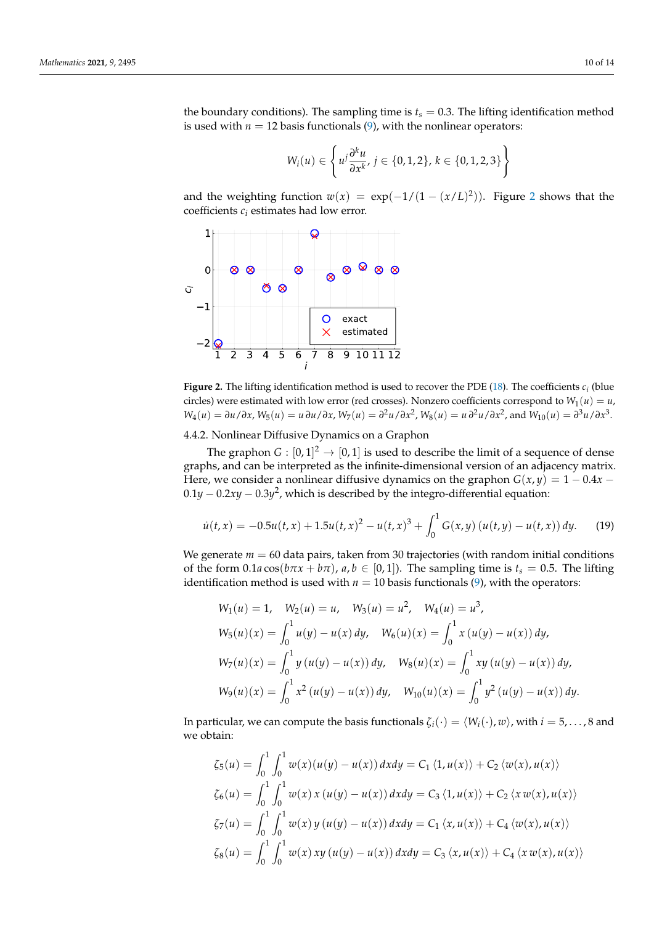the boundary conditions). The sampling time is  $t_s = 0.3$ . The lifting identification method is used with  $n = 12$  basis functionals  $(9)$ , with the nonlinear operators:

$$
W_i(u) \in \left\{ u^j \frac{\partial^k u}{\partial x^k}, j \in \{0, 1, 2\}, k \in \{0, 1, 2, 3\} \right\}
$$

and the weighting function  $w(x) = \exp(-1/(1-(x/L)^2))$  $w(x) = \exp(-1/(1-(x/L)^2))$  $w(x) = \exp(-1/(1-(x/L)^2))$ . Figure 2 shows that the coefficients *c<sup>i</sup>* estimates had low error.

<span id="page-9-1"></span>

**Figure 2.** The lifting identification method is used to recover the PDE [\(18\)](#page-8-2). The coefficients  $c_i$  (blue circles) were estimated with low error (red crosses). Nonzero coefficients correspond to  $W_1(u) = u$ ,  $W_4(u) = \partial u/\partial x$ ,  $W_5(u) = u \partial u/\partial x$ ,  $W_7(u) = \partial^2 u/\partial x^2$ ,  $W_8(u) = u \partial^2 u/\partial x^2$ , and  $W_{10}(u) = \partial^3 u/\partial x^3$ .

# <span id="page-9-0"></span>4.4.2. Nonlinear Diffusive Dynamics on a Graphon

The graphon  $G: [0,1]^2 \to [0,1]$  is used to describe the limit of a sequence of dense graphs, and can be interpreted as the infinite-dimensional version of an adjacency matrix. Here, we consider a nonlinear diffusive dynamics on the graphon  $G(x, y) = 1 - 0.4x$  − 0.1*y* − 0.2*xy* − 0.3*y* 2 , which is described by the integro-differential equation:

<span id="page-9-2"></span>
$$
\dot{u}(t,x) = -0.5u(t,x) + 1.5u(t,x)^2 - u(t,x)^3 + \int_0^1 G(x,y) (u(t,y) - u(t,x)) dy.
$$
 (19)

We generate  $m = 60$  data pairs, taken from 30 trajectories (with random initial conditions of the form  $0.1a \cos(b\pi x + b\pi)$ ,  $a, b \in [0, 1]$ ). The sampling time is  $t_s = 0.5$ . The lifting identification method is used with  $n = 10$  basis functionals [\(9\)](#page-5-0), with the operators:

$$
W_1(u) = 1, \quad W_2(u) = u, \quad W_3(u) = u^2, \quad W_4(u) = u^3,
$$
  
\n
$$
W_5(u)(x) = \int_0^1 u(y) - u(x) dy, \quad W_6(u)(x) = \int_0^1 x (u(y) - u(x)) dy,
$$
  
\n
$$
W_7(u)(x) = \int_0^1 y (u(y) - u(x)) dy, \quad W_8(u)(x) = \int_0^1 xy (u(y) - u(x)) dy,
$$
  
\n
$$
W_9(u)(x) = \int_0^1 x^2 (u(y) - u(x)) dy, \quad W_{10}(u)(x) = \int_0^1 y^2 (u(y) - u(x)) dy.
$$

In particular, we can compute the basis functionals  $\zeta_i(\cdot) = \langle W_i(\cdot), w \rangle$ , with  $i = 5, \dots, 8$  and we obtain:

$$
\zeta_5(u) = \int_0^1 \int_0^1 w(x)(u(y) - u(x)) \, dx \, dy = C_1 \langle 1, u(x) \rangle + C_2 \langle w(x), u(x) \rangle
$$
  
\n
$$
\zeta_6(u) = \int_0^1 \int_0^1 w(x) \, x \, (u(y) - u(x)) \, dx \, dy = C_3 \langle 1, u(x) \rangle + C_2 \langle x \, w(x), u(x) \rangle
$$
  
\n
$$
\zeta_7(u) = \int_0^1 \int_0^1 w(x) \, y \, (u(y) - u(x)) \, dx \, dy = C_1 \langle x, u(x) \rangle + C_4 \langle w(x), u(x) \rangle
$$
  
\n
$$
\zeta_8(u) = \int_0^1 \int_0^1 w(x) \, xy \, (u(y) - u(x)) \, dx \, dy = C_3 \langle x, u(x) \rangle + C_4 \langle x \, w(x), u(x) \rangle
$$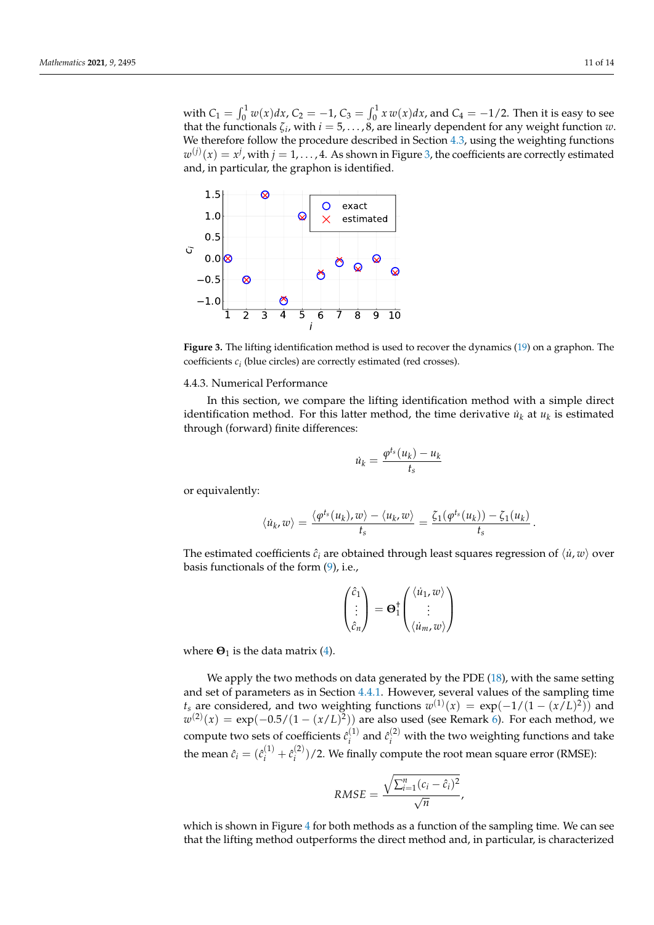with  $C_1 = \int_0^1 w(x) dx$ ,  $C_2 = -1$ ,  $C_3 = \int_0^1 x w(x) dx$ , and  $C_4 = -1/2$ . Then it is easy to see that the functionals  $\zeta_i$ , with  $i = 5, \ldots, 8$ , are linearly dependent for any weight function  $w$ . We therefore follow the procedure described in Section [4.3,](#page-7-2) using the weighting functions  $w^{(j)}(x) = x^j$ , with  $j = 1, \ldots, 4$ . As shown in Figure [3,](#page-10-0) the coefficients are correctly estimated and, in particular, the graphon is identified.

<span id="page-10-0"></span>

**Figure 3.** The lifting identification method is used to recover the dynamics [\(19\)](#page-9-2) on a graphon. The coefficients *c<sup>i</sup>* (blue circles) are correctly estimated (red crosses).

## 4.4.3. Numerical Performance

In this section, we compare the lifting identification method with a simple direct identification method. For this latter method, the time derivative  $\dot{u}_k$  at  $u_k$  is estimated through (forward) finite differences:

$$
\dot{u}_k = \frac{\varphi^{t_s}(u_k) - u_k}{t_s}
$$

or equivalently:

$$
\langle \dot{u}_k, w \rangle = \frac{\langle \varphi^{t_s}(u_k), w \rangle - \langle u_k, w \rangle}{t_s} = \frac{\zeta_1(\varphi^{t_s}(u_k)) - \zeta_1(u_k)}{t_s}.
$$

The estimated coefficients  $\hat{c}_i$  are obtained through least squares regression of  $\langle \dot{u}, w \rangle$  over basis functionals of the form [\(9\)](#page-5-0), i.e.,

$$
\begin{pmatrix} \hat{c}_1 \\ \vdots \\ \hat{c}_n \end{pmatrix} = \mathbf{\Theta}_1^{\dagger} \begin{pmatrix} \langle \dot{u}_1, w \rangle \\ \vdots \\ \langle \dot{u}_m, w \rangle \end{pmatrix}
$$

where  $\Theta_1$  is the data matrix [\(4\)](#page-3-0).

We apply the two methods on data generated by the PDE [\(18\)](#page-8-2), with the same setting and set of parameters as in Section [4.4.1.](#page-8-3) However, several values of the sampling time *t*<sub>*s*</sub> are considered, and two weighting functions  $w^{(1)}(x) = \exp(-1/(1 - (x/L)^2))$  and  $w^{(2)}(x) = \exp(-0.5/(1 - (x/L)^2))$  are also used (see Remark [6\)](#page-8-4). For each method, we compute two sets of coefficients  $\hat{c}^{(1)}_i$  $\hat{c}^{(1)}_i$  and  $\hat{c}^{(2)}_i$  with the two weighting functions and take the mean  $\hat{c}_i = (\hat{c}_i^{(1)} + \hat{c}_i^{(2)})$  $\binom{2}{i}$  /2. We finally compute the root mean square error (RMSE):

$$
RMSE = \frac{\sqrt{\sum_{i=1}^{n}(c_i - \hat{c}_i)^2}}{\sqrt{n}},
$$

which is shown in Figure [4](#page-11-1) for both methods as a function of the sampling time. We can see that the lifting method outperforms the direct method and, in particular, is characterized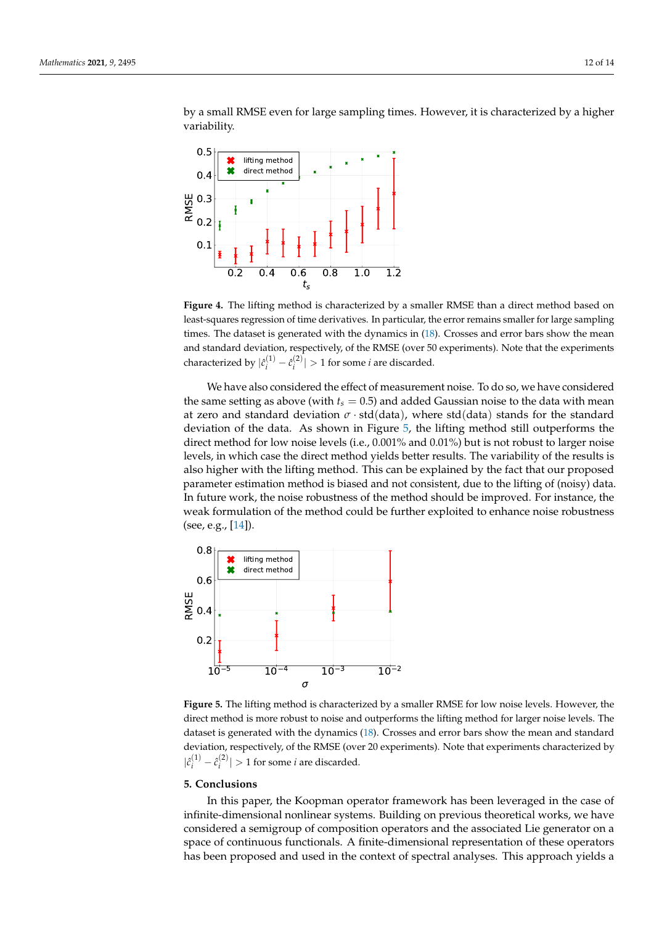<span id="page-11-1"></span>0.2 0.4 0.6 0.8 1.0 1.2 t. 0.1 0.2 0.3 0.4  $0.5$ RMSE lifting method direct method

by a small RMSE even for large sampling times. However, it is characterized by a higher variability.

**Figure 4.** The lifting method is characterized by a smaller RMSE than a direct method based on least-squares regression of time derivatives. In particular, the error remains smaller for large sampling times. The dataset is generated with the dynamics in [\(18\)](#page-8-2). Crosses and error bars show the mean and standard deviation, respectively, of the RMSE (over 50 experiments). Note that the experiments characterized by  $|\hat{c}_i^{(1)} - \hat{c}_i^{(2)}|$  $\left| \frac{1}{i} \right| > 1$  for some *i* are discarded.

We have also considered the effect of measurement noise. To do so, we have considered the same setting as above (with  $t_s = 0.5$ ) and added Gaussian noise to the data with mean at zero and standard deviation  $\sigma \cdot \text{std(data)}$ , where std(data) stands for the standard deviation of the data. As shown in Figure [5,](#page-11-2) the lifting method still outperforms the direct method for low noise levels (i.e., 0.001% and 0.01%) but is not robust to larger noise levels, in which case the direct method yields better results. The variability of the results is also higher with the lifting method. This can be explained by the fact that our proposed parameter estimation method is biased and not consistent, due to the lifting of (noisy) data. In future work, the noise robustness of the method should be improved. For instance, the weak formulation of the method could be further exploited to enhance noise robustness (see, e.g., [\[14\]](#page-12-12)).

<span id="page-11-2"></span>

**Figure 5.** The lifting method is characterized by a smaller RMSE for low noise levels. However, the direct method is more robust to noise and outperforms the lifting method for larger noise levels. The dataset is generated with the dynamics [\(18\)](#page-8-2). Crosses and error bars show the mean and standard deviation, respectively, of the RMSE (over 20 experiments). Note that experiments characterized by  $|\hat{c}_i^{(1)} - \hat{c}_i^{(2)}|$  $\left| \frac{f(z)}{i} \right| > 1$  for some *i* are discarded.

# <span id="page-11-0"></span>**5. Conclusions**

In this paper, the Koopman operator framework has been leveraged in the case of infinite-dimensional nonlinear systems. Building on previous theoretical works, we have considered a semigroup of composition operators and the associated Lie generator on a space of continuous functionals. A finite-dimensional representation of these operators has been proposed and used in the context of spectral analyses. This approach yields a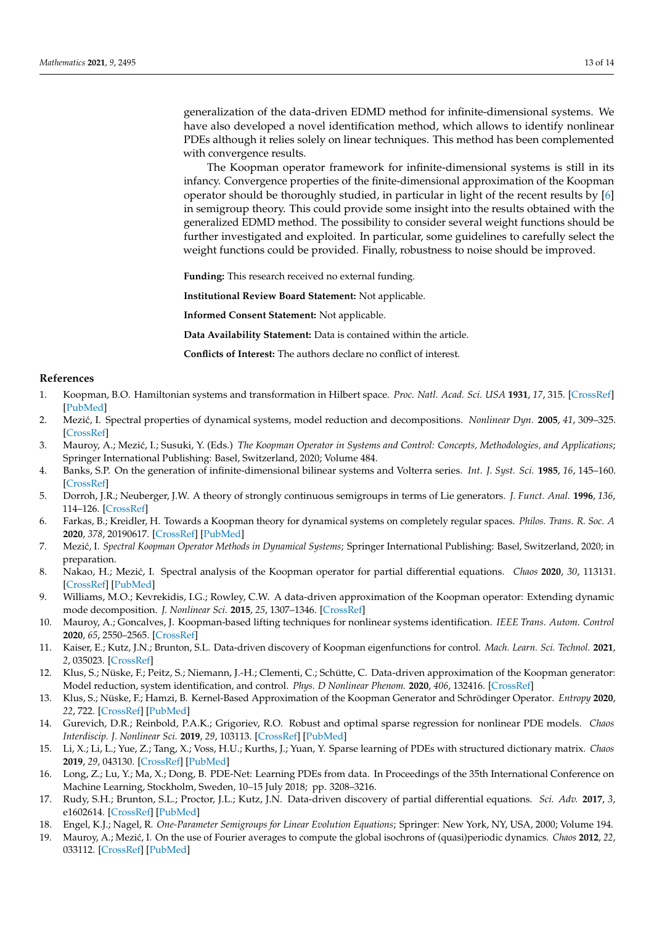generalization of the data-driven EDMD method for infinite-dimensional systems. We have also developed a novel identification method, which allows to identify nonlinear PDEs although it relies solely on linear techniques. This method has been complemented with convergence results.

The Koopman operator framework for infinite-dimensional systems is still in its infancy. Convergence properties of the finite-dimensional approximation of the Koopman operator should be thoroughly studied, in particular in light of the recent results by [\[6\]](#page-12-5) in semigroup theory. This could provide some insight into the results obtained with the generalized EDMD method. The possibility to consider several weight functions should be further investigated and exploited. In particular, some guidelines to carefully select the weight functions could be provided. Finally, robustness to noise should be improved.

**Funding:** This research received no external funding.

**Institutional Review Board Statement:** Not applicable.

**Informed Consent Statement:** Not applicable.

**Data Availability Statement:** Data is contained within the article.

**Conflicts of Interest:** The authors declare no conflict of interest.

## **References**

- <span id="page-12-0"></span>1. Koopman, B.O. Hamiltonian systems and transformation in Hilbert space. *Proc. Natl. Acad. Sci. USA* **1931**, *17*, 315. [\[CrossRef\]](http://doi.org/10.1073/pnas.17.5.315) [\[PubMed\]](http://www.ncbi.nlm.nih.gov/pubmed/16577368)
- <span id="page-12-1"></span>2. Mezi´c, I. Spectral properties of dynamical systems, model reduction and decompositions. *Nonlinear Dyn.* **2005**, *41*, 309–325. [\[CrossRef\]](http://dx.doi.org/10.1007/s11071-005-2824-x)
- <span id="page-12-2"></span>3. Mauroy, A.; Mezi´c, I.; Susuki, Y. (Eds.) *The Koopman Operator in Systems and Control: Concepts, Methodologies, and Applications*; Springer International Publishing: Basel, Switzerland, 2020; Volume 484.
- <span id="page-12-3"></span>4. Banks, S.P. On the generation of infinite-dimensional bilinear systems and Volterra series. *Int. J. Syst. Sci.* **1985**, *16*, 145–160. [\[CrossRef\]](http://dx.doi.org/10.1080/00207728508926661)
- <span id="page-12-4"></span>5. Dorroh, J.R.; Neuberger, J.W. A theory of strongly continuous semigroups in terms of Lie generators. *J. Funct. Anal.* **1996**, *136*, 114–126. [\[CrossRef\]](http://dx.doi.org/10.1006/jfan.1996.0023)
- <span id="page-12-5"></span>6. Farkas, B.; Kreidler, H. Towards a Koopman theory for dynamical systems on completely regular spaces. *Philos. Trans. R. Soc. A* **2020**, *378*, 20190617. [\[CrossRef\]](http://dx.doi.org/10.1098/rsta.2019.0617) [\[PubMed\]](http://www.ncbi.nlm.nih.gov/pubmed/33070753)
- <span id="page-12-6"></span>7. Mezi´c, I. *Spectral Koopman Operator Methods in Dynamical Systems*; Springer International Publishing: Basel, Switzerland, 2020; in preparation.
- <span id="page-12-7"></span>8. Nakao, H.; Mezi´c, I. Spectral analysis of the Koopman operator for partial differential equations. *Chaos* **2020**, *30*, 113131. [\[CrossRef\]](http://dx.doi.org/10.1063/5.0011470) [\[PubMed\]](http://www.ncbi.nlm.nih.gov/pubmed/33261357)
- <span id="page-12-8"></span>9. Williams, M.O.; Kevrekidis, I.G.; Rowley, C.W. A data-driven approximation of the Koopman operator: Extending dynamic mode decomposition. *J. Nonlinear Sci.* **2015**, *25*, 1307–1346. [\[CrossRef\]](http://dx.doi.org/10.1007/s00332-015-9258-5)
- <span id="page-12-9"></span>10. Mauroy, A.; Goncalves, J. Koopman-based lifting techniques for nonlinear systems identification. *IEEE Trans. Autom. Control* **2020**, *65*, 2550–2565. [\[CrossRef\]](http://dx.doi.org/10.1109/TAC.2019.2941433)
- <span id="page-12-10"></span>11. Kaiser, E.; Kutz, J.N.; Brunton, S.L. Data-driven discovery of Koopman eigenfunctions for control. *Mach. Learn. Sci. Technol.* **2021**, *2*, 035023. [\[CrossRef\]](http://dx.doi.org/10.1088/2632-2153/abf0f5)
- 12. Klus, S.; Nüske, F.; Peitz, S.; Niemann, J.-H.; Clementi, C.; Schütte, C. Data-driven approximation of the Koopman generator: Model reduction, system identification, and control. *Phys. D Nonlinear Phenom.* **2020**, *406*, 132416. [\[CrossRef\]](http://dx.doi.org/10.1016/j.physd.2020.132416)
- <span id="page-12-11"></span>13. Klus, S.; Nüske, F.; Hamzi, B. Kernel-Based Approximation of the Koopman Generator and Schrödinger Operator. *Entropy* **2020**, *22*, 722. [\[CrossRef\]](http://dx.doi.org/10.3390/e22070722) [\[PubMed\]](http://www.ncbi.nlm.nih.gov/pubmed/33286494)
- <span id="page-12-12"></span>14. Gurevich, D.R.; Reinbold, P.A.K.; Grigoriev, R.O. Robust and optimal sparse regression for nonlinear PDE models. *Chaos Interdiscip. J. Nonlinear Sci.* **2019**, *29*, 103113. [\[CrossRef\]](http://dx.doi.org/10.1063/1.5120861) [\[PubMed\]](http://www.ncbi.nlm.nih.gov/pubmed/31675826)
- 15. Li, X.; Li, L.; Yue, Z.; Tang, X.; Voss, H.U.; Kurths, J.; Yuan, Y. Sparse learning of PDEs with structured dictionary matrix. *Chaos* **2019**, *29*, 043130. [\[CrossRef\]](http://dx.doi.org/10.1063/1.5054708) [\[PubMed\]](http://www.ncbi.nlm.nih.gov/pubmed/31042938)
- 16. Long, Z.; Lu, Y.; Ma, X.; Dong, B. PDE-Net: Learning PDEs from data. In Proceedings of the 35th International Conference on Machine Learning, Stockholm, Sweden, 10–15 July 2018; pp. 3208–3216.
- <span id="page-12-13"></span>17. Rudy, S.H.; Brunton, S.L.; Proctor, J.L.; Kutz, J.N. Data-driven discovery of partial differential equations. *Sci. Adv.* **2017**, *3*, e1602614. [\[CrossRef\]](http://dx.doi.org/10.1126/sciadv.1602614) [\[PubMed\]](http://www.ncbi.nlm.nih.gov/pubmed/28508044)
- <span id="page-12-14"></span>18. Engel, K.J.; Nagel, R. *One-Parameter Semigroups for Linear Evolution Equations*; Springer: New York, NY, USA, 2000; Volume 194.
- <span id="page-12-15"></span>19. Mauroy, A.; Mezi´c, I. On the use of Fourier averages to compute the global isochrons of (quasi)periodic dynamics. *Chaos* **2012**, *22*, 033112. [\[CrossRef\]](http://dx.doi.org/10.1063/1.4736859) [\[PubMed\]](http://www.ncbi.nlm.nih.gov/pubmed/23020451)